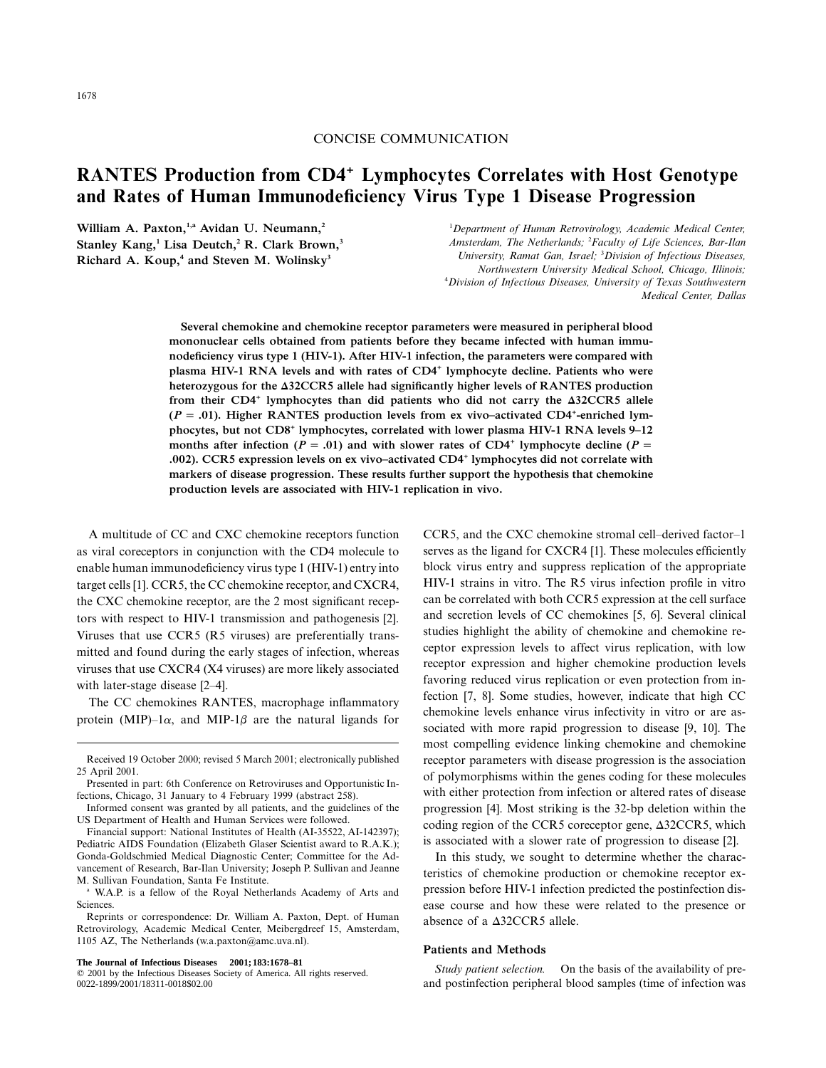## CONCISE COMMUNICATION

# **RANTES Production from CD4+ Lymphocytes Correlates with Host Genotype and Rates of Human Immunodeficiency Virus Type 1 Disease Progression**

William A. Paxton,<sup>1,a</sup> Avidan U. Neumann,<sup>2</sup> **Stanley Kang,1 Lisa Deutch,2 R. Clark Brown,3** Richard A. Koup,<sup>4</sup> and Steven M. Wolinsky<sup>3</sup>

1 *Department of Human Retrovirology, Academic Medical Center, Amsterdam, The Netherlands;* <sup>2</sup> *Faculty of Life Sciences, Bar-Ilan University, Ramat Gan, Israel;* <sup>3</sup> *Division of Infectious Diseases, Northwestern University Medical School, Chicago, Illinois;* 4 *Division of Infectious Diseases, University of Texas Southwestern Medical Center, Dallas*

**Several chemokine and chemokine receptor parameters were measured in peripheral blood mononuclear cells obtained from patients before they became infected with human immunodeficiency virus type 1 (HIV-1). After HIV-1 infection, the parameters were compared with plasma HIV-1 RNA levels and with rates of CD4+ lymphocyte decline. Patients who were** heterozygous for the  $\triangle 32CCR5$  allele had significantly higher levels of RANTES production from their CD4<sup>+</sup> lymphocytes than did patients who did not carry the  $\Delta$ 32CCR5 allele  $(P = .01)$ . Higher RANTES production levels from ex vivo–activated CD4<sup>+</sup>-enriched lym**phocytes, but not CD8+ lymphocytes, correlated with lower plasma HIV-1 RNA levels 9–12** months after infection ( $P = .01$ ) and with slower rates of CD4<sup>+</sup> lymphocyte decline ( $P = .01$ ) **). CCR5 expression levels on ex vivo–activated CD4+ .002 lymphocytes did not correlate with markers of disease progression. These results further support the hypothesis that chemokine production levels are associated with HIV-1 replication in vivo.**

A multitude of CC and CXC chemokine receptors function as viral coreceptors in conjunction with the CD4 molecule to enable human immunodeficiency virus type 1 (HIV-1) entry into target cells [1]. CCR5, the CC chemokine receptor, and CXCR4, the CXC chemokine receptor, are the 2 most significant receptors with respect to HIV-1 transmission and pathogenesis [2]. Viruses that use CCR5 (R5 viruses) are preferentially transmitted and found during the early stages of infection, whereas viruses that use CXCR4 (X4 viruses) are more likely associated with later-stage disease [2–4].

The CC chemokines RANTES, macrophage inflammatory protein (MIP)–1 $\alpha$ , and MIP-1 $\beta$  are the natural ligands for

**The Journal of Infectious Diseases 2001;183:1678–81**

CCR5, and the CXC chemokine stromal cell–derived factor–1 serves as the ligand for CXCR4 [1]. These molecules efficiently block virus entry and suppress replication of the appropriate HIV-1 strains in vitro. The R5 virus infection profile in vitro can be correlated with both CCR5 expression at the cell surface and secretion levels of CC chemokines [5, 6]. Several clinical studies highlight the ability of chemokine and chemokine receptor expression levels to affect virus replication, with low receptor expression and higher chemokine production levels favoring reduced virus replication or even protection from infection [7, 8]. Some studies, however, indicate that high CC chemokine levels enhance virus infectivity in vitro or are associated with more rapid progression to disease [9, 10]. The most compelling evidence linking chemokine and chemokine receptor parameters with disease progression is the association of polymorphisms within the genes coding for these molecules with either protection from infection or altered rates of disease progression [4]. Most striking is the 32-bp deletion within the coding region of the CCR5 coreceptor gene,  $\triangle 32CCR5$ , which is associated with a slower rate of progression to disease [2].

In this study, we sought to determine whether the characteristics of chemokine production or chemokine receptor expression before HIV-1 infection predicted the postinfection disease course and how these were related to the presence or absence of a  $\triangle$ 32CCR5 allele.

#### **Patients and Methods**

*Study patient selection.* On the basis of the availability of preand postinfection peripheral blood samples (time of infection was

Received 19 October 2000; revised 5 March 2001; electronically published 25 April 2001.

Presented in part: 6th Conference on Retroviruses and Opportunistic Infections, Chicago, 31 January to 4 February 1999 (abstract 258).

Informed consent was granted by all patients, and the guidelines of the US Department of Health and Human Services were followed.

Financial support: National Institutes of Health (AI-35522, AI-142397); Pediatric AIDS Foundation (Elizabeth Glaser Scientist award to R.A.K.); Gonda-Goldschmied Medical Diagnostic Center; Committee for the Advancement of Research, Bar-Ilan University; Joseph P. Sullivan and Jeanne M. Sullivan Foundation, Santa Fe Institute.

<sup>&</sup>lt;sup>a</sup> W.A.P. is a fellow of the Royal Netherlands Academy of Arts and Sciences.

Reprints or correspondence: Dr. William A. Paxton, Dept. of Human Retrovirology, Academic Medical Center, Meibergdreef 15, Amsterdam, 1105 AZ, The Netherlands (w.a.paxton@amc.uva.nl).

2001 by the Infectious Diseases Society of America. All rights reserved. 0022-1899/2001/18311-0018\$02.00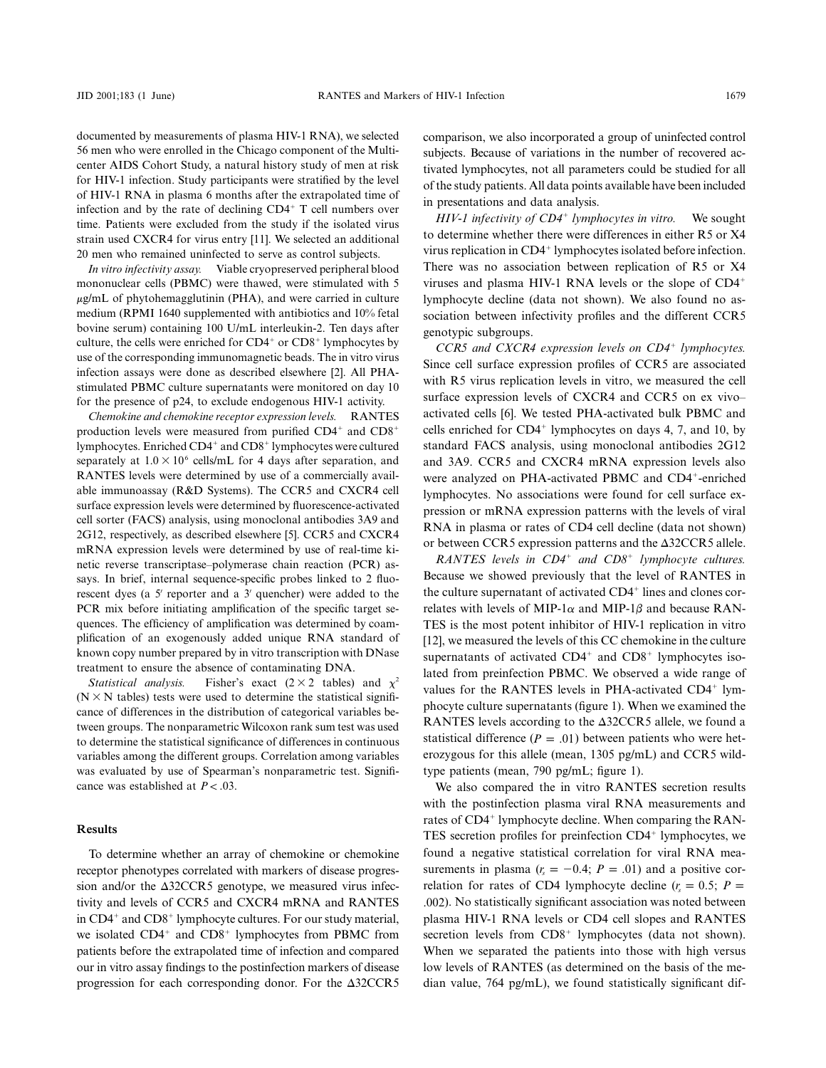documented by measurements of plasma HIV-1 RNA), we selected 56 men who were enrolled in the Chicago component of the Multicenter AIDS Cohort Study, a natural history study of men at risk for HIV-1 infection. Study participants were stratified by the level of HIV-1 RNA in plasma 6 months after the extrapolated time of infection and by the rate of declining  $CD4<sup>+</sup>$  T cell numbers over time. Patients were excluded from the study if the isolated virus strain used CXCR4 for virus entry [11]. We selected an additional 20 men who remained uninfected to serve as control subjects.

*In vitro infectivity assay.* Viable cryopreserved peripheral blood mononuclear cells (PBMC) were thawed, were stimulated with 5  $\mu$ g/mL of phytohemagglutinin (PHA), and were carried in culture medium (RPMI 1640 supplemented with antibiotics and 10% fetal bovine serum) containing 100 U/mL interleukin-2. Ten days after culture, the cells were enriched for  $CD4^+$  or  $CD8^+$  lymphocytes by use of the corresponding immunomagnetic beads. The in vitro virus infection assays were done as described elsewhere [2]. All PHAstimulated PBMC culture supernatants were monitored on day 10 for the presence of p24, to exclude endogenous HIV-1 activity.

*Chemokine and chemokine receptor expression levels.* RANTES production levels were measured from purified  $CD4^+$  and  $CD8^+$ lymphocytes. Enriched CD4<sup>+</sup> and CD8<sup>+</sup> lymphocytes were cultured separately at  $1.0 \times 10^6$  cells/mL for 4 days after separation, and RANTES levels were determined by use of a commercially available immunoassay (R&D Systems). The CCR5 and CXCR4 cell surface expression levels were determined by fluorescence-activated cell sorter (FACS) analysis, using monoclonal antibodies 3A9 and 2G12, respectively, as described elsewhere [5]. CCR5 and CXCR4 mRNA expression levels were determined by use of real-time kinetic reverse transcriptase–polymerase chain reaction (PCR) assays. In brief, internal sequence-specific probes linked to 2 fluorescent dyes (a  $5'$  reporter and a  $3'$  quencher) were added to the PCR mix before initiating amplification of the specific target sequences. The efficiency of amplification was determined by coamplification of an exogenously added unique RNA standard of known copy number prepared by in vitro transcription with DNase treatment to ensure the absence of contaminating DNA.

*Statistical analysis.* Fisher's exact  $(2 \times 2 \text{ tables})$  and  $\chi^2$  $(N \times N$  tables) tests were used to determine the statistical significance of differences in the distribution of categorical variables between groups. The nonparametric Wilcoxon rank sum test was used to determine the statistical significance of differences in continuous variables among the different groups. Correlation among variables was evaluated by use of Spearman's nonparametric test. Significance was established at  $P < .03$ .

## **Results**

To determine whether an array of chemokine or chemokine receptor phenotypes correlated with markers of disease progression and/or the  $\triangle 32CCR5$  genotype, we measured virus infectivity and levels of CCR5 and CXCR4 mRNA and RANTES in CD4<sup>+</sup> and CD8<sup>+</sup> lymphocyte cultures. For our study material, we isolated  $CD4^+$  and  $CD8^+$  lymphocytes from PBMC from patients before the extrapolated time of infection and compared our in vitro assay findings to the postinfection markers of disease progression for each corresponding donor. For the  $\triangle 32CCR5$ 

comparison, we also incorporated a group of uninfected control subjects. Because of variations in the number of recovered activated lymphocytes, not all parameters could be studied for all of the study patients. All data points available have been included in presentations and data analysis.

*HIV-1 infectivity of CD4 lymphocytes in vitro.* We sought to determine whether there were differences in either R5 or X4 virus replication in CD4<sup>+</sup> lymphocytes isolated before infection. There was no association between replication of R5 or X4 viruses and plasma HIV-1 RNA levels or the slope of CD4 lymphocyte decline (data not shown). We also found no association between infectivity profiles and the different CCR5 genotypic subgroups.

*CCR5 and CXCR4 expression levels on CD4 lymphocytes.* Since cell surface expression profiles of CCR5 are associated with R5 virus replication levels in vitro, we measured the cell surface expression levels of CXCR4 and CCR5 on ex vivo– activated cells [6]. We tested PHA-activated bulk PBMC and cells enriched for  $CD4^+$  lymphocytes on days 4, 7, and 10, by standard FACS analysis, using monoclonal antibodies 2G12 and 3A9. CCR5 and CXCR4 mRNA expression levels also were analyzed on PHA-activated PBMC and CD4<sup>+</sup>-enriched lymphocytes. No associations were found for cell surface expression or mRNA expression patterns with the levels of viral RNA in plasma or rates of CD4 cell decline (data not shown) or between CCR5 expression patterns and the  $\triangle 32$ CCR5 allele.

*RANTES levels in CD4<sup>+</sup> and CD8<sup>+</sup> <i>lymphocyte cultures.* Because we showed previously that the level of RANTES in the culture supernatant of activated  $CD4<sup>+</sup>$  lines and clones correlates with levels of MIP-1 $\alpha$  and MIP-1 $\beta$  and because RAN-TES is the most potent inhibitor of HIV-1 replication in vitro [12], we measured the levels of this CC chemokine in the culture supernatants of activated  $CD4^+$  and  $CD8^+$  lymphocytes isolated from preinfection PBMC. We observed a wide range of values for the RANTES levels in PHA-activated  $CD4<sup>+</sup>$  lymphocyte culture supernatants (figure 1). When we examined the RANTES levels according to the  $\Delta 32CCR5$  allele, we found a statistical difference  $(P = .01)$  between patients who were heterozygous for this allele (mean, 1305 pg/mL) and CCR5 wildtype patients (mean, 790 pg/mL; figure 1).

We also compared the in vitro RANTES secretion results with the postinfection plasma viral RNA measurements and rates of CD4<sup>+</sup> lymphocyte decline. When comparing the RAN-TES secretion profiles for preinfection CD4<sup>+</sup> lymphocytes, we found a negative statistical correlation for viral RNA measurements in plasma  $(r_s = -0.4; P = .01)$  and a positive correlation for rates of CD4 lymphocyte decline  $(r_s = 0.5; P =$ .002). No statistically significant association was noted between plasma HIV-1 RNA levels or CD4 cell slopes and RANTES secretion levels from  $CD8<sup>+</sup>$  lymphocytes (data not shown). When we separated the patients into those with high versus low levels of RANTES (as determined on the basis of the median value, 764 pg/mL), we found statistically significant dif-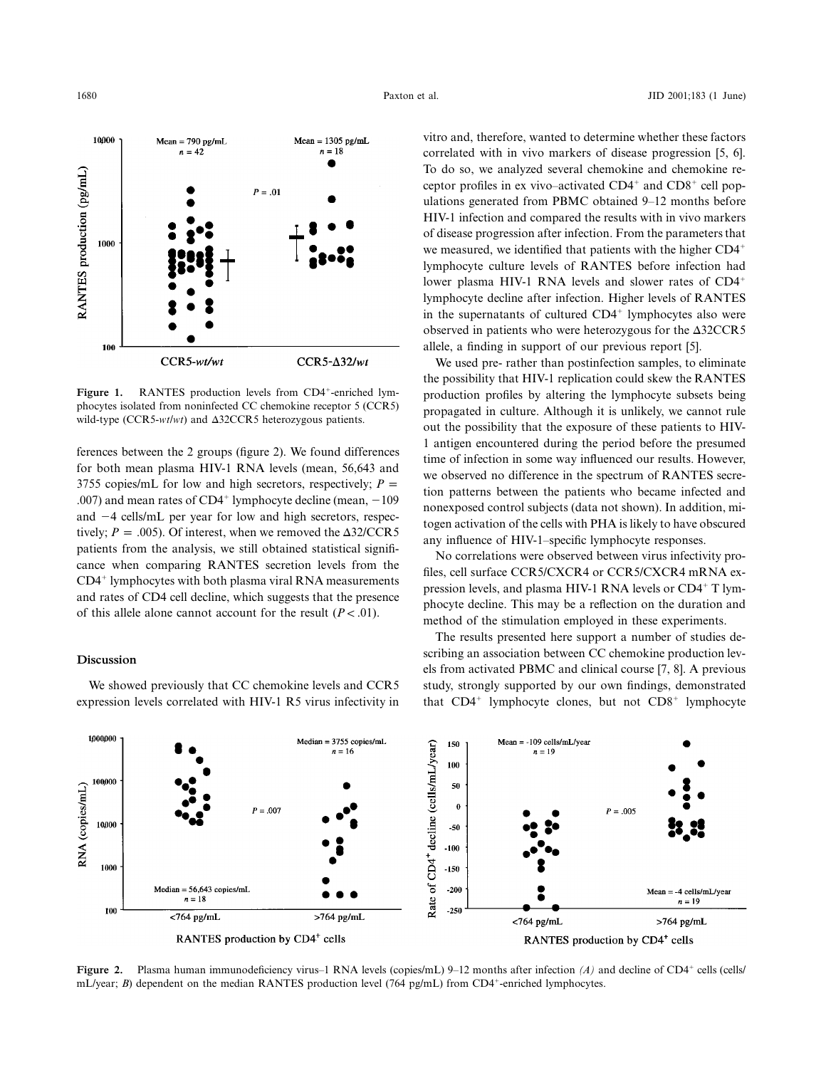

Figure 1. RANTES production levels from CD4<sup>+</sup>-enriched lymphocytes isolated from noninfected CC chemokine receptor 5 (CCR5) wild-type (CCR5-*wt/wt*) and Δ32CCR5 heterozygous patients.

ferences between the 2 groups (figure 2). We found differences for both mean plasma HIV-1 RNA levels (mean, 56,643 and 3755 copies/mL for low and high secretors, respectively;  $P =$ .007) and mean rates of  $CD4^+$  lymphocyte decline (mean,  $-109$ and -4 cells/mL per year for low and high secretors, respectively;  $P = .005$ ). Of interest, when we removed the  $\Delta 32/CCR5$ patients from the analysis, we still obtained statistical significance when comparing RANTES secretion levels from the  $CD4<sup>+</sup>$  lymphocytes with both plasma viral RNA measurements and rates of CD4 cell decline, which suggests that the presence of this allele alone cannot account for the result  $(P < .01)$ .

#### **Discussion**

We showed previously that CC chemokine levels and CCR5 expression levels correlated with HIV-1 R5 virus infectivity in

vitro and, therefore, wanted to determine whether these factors correlated with in vivo markers of disease progression [5, 6]. To do so, we analyzed several chemokine and chemokine receptor profiles in ex vivo–activated  $CD4^+$  and  $CD8^+$  cell populations generated from PBMC obtained 9–12 months before HIV-1 infection and compared the results with in vivo markers of disease progression after infection. From the parameters that we measured, we identified that patients with the higher CD4 lymphocyte culture levels of RANTES before infection had lower plasma HIV-1 RNA levels and slower rates of CD4 lymphocyte decline after infection. Higher levels of RANTES in the supernatants of cultured  $CD4<sup>+</sup>$  lymphocytes also were observed in patients who were heterozygous for the  $\Delta 32CCR5$ allele, a finding in support of our previous report [5].

We used pre- rather than postinfection samples, to eliminate the possibility that HIV-1 replication could skew the RANTES production profiles by altering the lymphocyte subsets being propagated in culture. Although it is unlikely, we cannot rule out the possibility that the exposure of these patients to HIV-1 antigen encountered during the period before the presumed time of infection in some way influenced our results. However, we observed no difference in the spectrum of RANTES secretion patterns between the patients who became infected and nonexposed control subjects (data not shown). In addition, mitogen activation of the cells with PHA is likely to have obscured any influence of HIV-1–specific lymphocyte responses.

No correlations were observed between virus infectivity profiles, cell surface CCR5/CXCR4 or CCR5/CXCR4 mRNA expression levels, and plasma HIV-1 RNA levels or CD4<sup>+</sup> T lymphocyte decline. This may be a reflection on the duration and method of the stimulation employed in these experiments.

The results presented here support a number of studies describing an association between CC chemokine production levels from activated PBMC and clinical course [7, 8]. A previous study, strongly supported by our own findings, demonstrated that  $CD4^+$  lymphocyte clones, but not  $CD8^+$  lymphocyte



Figure 2. Plasma human immunodeficiency virus–1 RNA levels (copies/mL) 9–12 months after infection *(A)* and decline of CD4<sup>+</sup> cells (cells/ mL/year; *B*) dependent on the median RANTES production level (764 pg/mL) from CD4<sup>+</sup>-enriched lymphocytes.